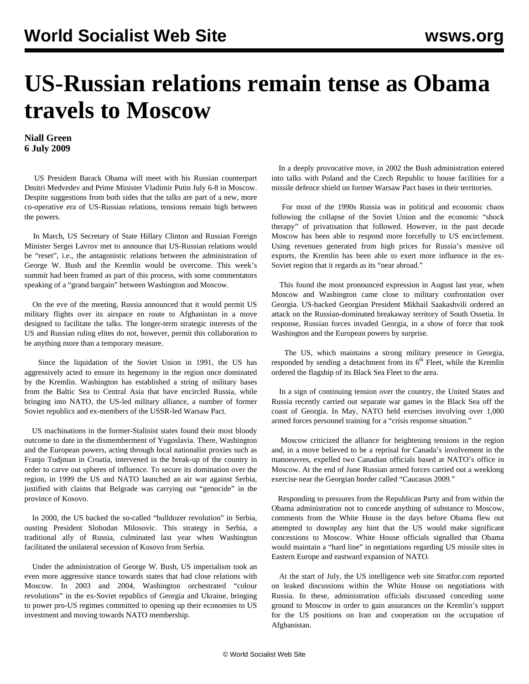## **US-Russian relations remain tense as Obama travels to Moscow**

## **Niall Green 6 July 2009**

 US President Barack Obama will meet with his Russian counterpart Dmitri Medvedev and Prime Minister Vladimir Putin July 6-8 in Moscow. Despite suggestions from both sides that the talks are part of a new, more co-operative era of US-Russian relations, tensions remain high between the powers.

 In March, US Secretary of State Hillary Clinton and Russian Foreign Minister Sergei Lavrov met to announce that US-Russian relations would be "reset", i.e., the antagonistic relations between the administration of George W. Bush and the Kremlin would be overcome. This week's summit had been framed as part of this process, with some commentators speaking of a "grand bargain" between Washington and Moscow.

 On the eve of the meeting, Russia announced that it would permit US military flights over its airspace en route to Afghanistan in a move designed to facilitate the talks. The longer-term strategic interests of the US and Russian ruling elites do not, however, permit this collaboration to be anything more than a temporary measure.

 Since the liquidation of the Soviet Union in 1991, the US has aggressively acted to ensure its hegemony in the region once dominated by the Kremlin. Washington has established a string of military bases from the Baltic Sea to Central Asia that have encircled Russia, while bringing into NATO, the US-led military alliance, a number of former Soviet republics and ex-members of the USSR-led Warsaw Pact.

 US machinations in the former-Stalinist states found their most bloody outcome to date in the dismemberment of Yugoslavia. There, Washington and the European powers, acting through local nationalist proxies such as Franjo Tudjman in Croatia, intervened in the break-up of the country in order to carve out spheres of influence. To secure its domination over the region, in 1999 the US and NATO launched an air war against Serbia, justified with claims that Belgrade was carrying out "genocide" in the province of Kosovo.

 In 2000, the US backed the so-called "bulldozer revolution" in Serbia, ousting President Slobodan Milosovic. This strategy in Serbia, a traditional ally of Russia, culminated last year when Washington facilitated the unilateral secession of Kosovo from Serbia.

 Under the administration of George W. Bush, US imperialism took an even more aggressive stance towards states that had close relations with Moscow. In 2003 and 2004, Washington orchestrated "colour revolutions" in the ex-Soviet republics of Georgia and Ukraine, bringing to power pro-US regimes committed to opening up their economies to US investment and moving towards NATO membership.

 In a deeply provocative move, in 2002 the Bush administration entered into talks with Poland and the Czech Republic to house facilities for a missile defence shield on former Warsaw Pact bases in their territories.

 For most of the 1990s Russia was in political and economic chaos following the collapse of the Soviet Union and the economic "shock therapy" of privatisation that followed. However, in the past decade Moscow has been able to respond more forcefully to US encirclement. Using revenues generated from high prices for Russia's massive oil exports, the Kremlin has been able to exert more influence in the ex-Soviet region that it regards as its "near abroad."

 This found the most pronounced expression in August last year, when Moscow and Washington came close to military confrontation over Georgia. US-backed Georgian President Mikhail Saakashvili ordered an attack on the Russian-dominated breakaway territory of South Ossetia. In response, Russian forces invaded Georgia, in a show of force that took Washington and the European powers by surprise.

 The US, which maintains a strong military presence in Georgia, responded by sending a detachment from its  $6<sup>th</sup>$  Fleet, while the Kremlin ordered the flagship of its Black Sea Fleet to the area.

 In a sign of continuing tension over the country, the United States and Russia recently carried out separate war games in the Black Sea off the coast of Georgia. In May, NATO held exercises involving over 1,000 armed forces personnel training for a "crisis response situation."

 Moscow criticized the alliance for heightening tensions in the region and, in a move believed to be a reprisal for Canada's involvement in the manoeuvres, expelled two Canadian officials based at NATO's office in Moscow. At the end of June Russian armed forces carried out a weeklong exercise near the Georgian border called "Caucasus 2009."

 Responding to pressures from the Republican Party and from within the Obama administration not to concede anything of substance to Moscow, comments from the White House in the days before Obama flew out attempted to downplay any hint that the US would make significant concessions to Moscow. White House officials signalled that Obama would maintain a "hard line" in negotiations regarding US missile sites in Eastern Europe and eastward expansion of NATO.

 At the start of July, the US intelligence web site Stratfor.com reported on leaked discussions within the White House on negotiations with Russia. In these, administration officials discussed conceding some ground to Moscow in order to gain assurances on the Kremlin's support for the US positions on Iran and cooperation on the occupation of Afghanistan.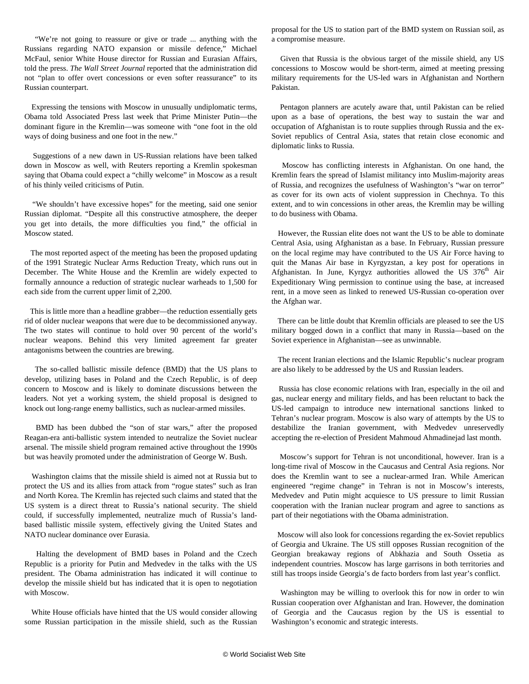"We're not going to reassure or give or trade ... anything with the Russians regarding NATO expansion or missile defence," Michael McFaul, senior White House director for Russian and Eurasian Affairs, told the press. *The Wall Street Journal* reported that the administration did not "plan to offer overt concessions or even softer reassurance" to its Russian counterpart.

 Expressing the tensions with Moscow in unusually undiplomatic terms, Obama told Associated Press last week that Prime Minister Putin—the dominant figure in the Kremlin—was someone with "one foot in the old ways of doing business and one foot in the new."

 Suggestions of a new dawn in US-Russian relations have been talked down in Moscow as well, with Reuters reporting a Kremlin spokesman saying that Obama could expect a "chilly welcome" in Moscow as a result of his thinly veiled criticisms of Putin.

 "We shouldn't have excessive hopes" for the meeting, said one senior Russian diplomat. "Despite all this constructive atmosphere, the deeper you get into details, the more difficulties you find," the official in Moscow stated.

 The most reported aspect of the meeting has been the proposed updating of the 1991 Strategic Nuclear Arms Reduction Treaty, which runs out in December. The White House and the Kremlin are widely expected to formally announce a reduction of strategic nuclear warheads to 1,500 for each side from the current upper limit of 2,200.

 This is little more than a headline grabber—the reduction essentially gets rid of older nuclear weapons that were due to be decommissioned anyway. The two states will continue to hold over 90 percent of the world's nuclear weapons. Behind this very limited agreement far greater antagonisms between the countries are brewing.

 The so-called ballistic missile defence (BMD) that the US plans to develop, utilizing bases in Poland and the Czech Republic, is of deep concern to Moscow and is likely to dominate discussions between the leaders. Not yet a working system, the shield proposal is designed to knock out long-range enemy ballistics, such as nuclear-armed missiles.

 BMD has been dubbed the "son of star wars," after the proposed Reagan-era anti-ballistic system intended to neutralize the Soviet nuclear arsenal. The missile shield program remained active throughout the 1990s but was heavily promoted under the administration of George W. Bush.

 Washington claims that the missile shield is aimed not at Russia but to protect the US and its allies from attack from "rogue states" such as Iran and North Korea. The Kremlin has rejected such claims and stated that the US system is a direct threat to Russia's national security. The shield could, if successfully implemented, neutralize much of Russia's landbased ballistic missile system, effectively giving the United States and NATO nuclear dominance over Eurasia.

 Halting the development of BMD bases in Poland and the Czech Republic is a priority for Putin and Medvedev in the talks with the US president. The Obama administration has indicated it will continue to develop the missile shield but has indicated that it is open to negotiation with Moscow.

 White House officials have hinted that the US would consider allowing some Russian participation in the missile shield, such as the Russian proposal for the US to station part of the BMD system on Russian soil, as a compromise measure.

 Given that Russia is the obvious target of the missile shield, any US concessions to Moscow would be short-term, aimed at meeting pressing military requirements for the US-led wars in Afghanistan and Northern Pakistan.

 Pentagon planners are acutely aware that, until Pakistan can be relied upon as a base of operations, the best way to sustain the war and occupation of Afghanistan is to route supplies through Russia and the ex-Soviet republics of Central Asia, states that retain close economic and diplomatic links to Russia.

 Moscow has conflicting interests in Afghanistan. On one hand, the Kremlin fears the spread of Islamist militancy into Muslim-majority areas of Russia, and recognizes the usefulness of Washington's "war on terror" as cover for its own acts of violent suppression in Chechnya. To this extent, and to win concessions in other areas, the Kremlin may be willing to do business with Obama.

 However, the Russian elite does not want the US to be able to dominate Central Asia, using Afghanistan as a base. In February, Russian pressure on the local regime may have contributed to the US Air Force having to quit the Manas Air base in Kyrgyzstan, a key post for operations in Afghanistan. In June, Kyrgyz authorities allowed the US  $376<sup>th</sup>$  Air Expeditionary Wing permission to continue using the base, at increased rent, in a move seen as linked to renewed US-Russian co-operation over the Afghan war.

 There can be little doubt that Kremlin officials are pleased to see the US military bogged down in a conflict that many in Russia—based on the Soviet experience in Afghanistan—see as unwinnable.

 The recent Iranian elections and the Islamic Republic's nuclear program are also likely to be addressed by the US and Russian leaders.

 Russia has close economic relations with Iran, especially in the oil and gas, nuclear energy and military fields, and has been reluctant to back the US-led campaign to introduce new international sanctions linked to Tehran's nuclear program. Moscow is also wary of attempts by the US to destabilize the Iranian government, with Medvedev unreservedly accepting the re-election of President Mahmoud Ahmadinejad last month.

 Moscow's support for Tehran is not unconditional, however. Iran is a long-time rival of Moscow in the Caucasus and Central Asia regions. Nor does the Kremlin want to see a nuclear-armed Iran. While American engineered "regime change" in Tehran is not in Moscow's interests, Medvedev and Putin might acquiesce to US pressure to limit Russian cooperation with the Iranian nuclear program and agree to sanctions as part of their negotiations with the Obama administration.

 Moscow will also look for concessions regarding the ex-Soviet republics of Georgia and Ukraine. The US still opposes Russian recognition of the Georgian breakaway regions of Abkhazia and South Ossetia as independent countries. Moscow has large garrisons in both territories and still has troops inside Georgia's de facto borders from last year's conflict.

 Washington may be willing to overlook this for now in order to win Russian cooperation over Afghanistan and Iran. However, the domination of Georgia and the Caucasus region by the US is essential to Washington's economic and strategic interests.